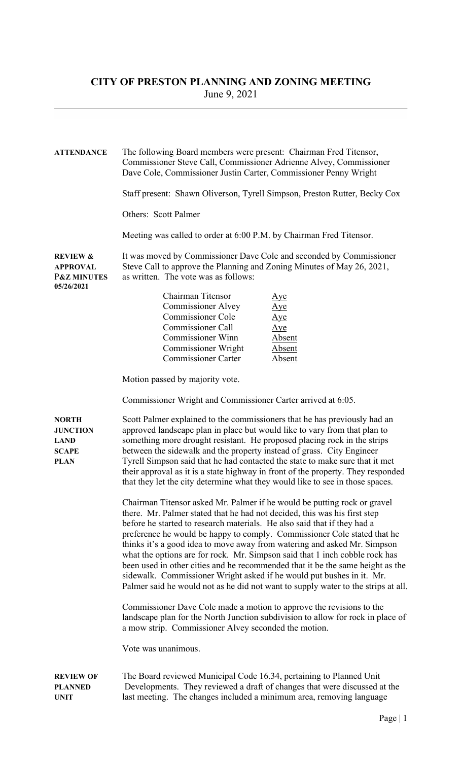## CITY OF PRESTON PLANNING AND ZONING MEETING June 9, 2021

| <b>ATTENDANCE</b>                                                              | The following Board members were present: Chairman Fred Titensor,<br>Commissioner Steve Call, Commissioner Adrienne Alvey, Commissioner<br>Dave Cole, Commissioner Justin Carter, Commissioner Penny Wright<br>Staff present: Shawn Oliverson, Tyrell Simpson, Preston Rutter, Becky Cox<br><b>Others: Scott Palmer</b><br>Meeting was called to order at 6:00 P.M. by Chairman Fred Titensor.                                                                                                                                                                                                                                                                                                                           |
|--------------------------------------------------------------------------------|--------------------------------------------------------------------------------------------------------------------------------------------------------------------------------------------------------------------------------------------------------------------------------------------------------------------------------------------------------------------------------------------------------------------------------------------------------------------------------------------------------------------------------------------------------------------------------------------------------------------------------------------------------------------------------------------------------------------------|
| <b>REVIEW &amp;</b><br><b>APPROVAL</b><br><b>P&amp;Z MINUTES</b><br>05/26/2021 | It was moved by Commissioner Dave Cole and seconded by Commissioner<br>Steve Call to approve the Planning and Zoning Minutes of May 26, 2021,<br>as written. The vote was as follows:<br>Chairman Titensor<br>Aye<br><b>Commissioner Alvey</b><br>Aye<br><b>Commissioner Cole</b><br>Aye<br>Commissioner Call<br>Aye<br><b>Commissioner Winn</b><br><b>Absent</b><br><b>Commissioner Wright</b><br>Absent<br><b>Commissioner Carter</b><br>Absent                                                                                                                                                                                                                                                                        |
|                                                                                | Motion passed by majority vote.<br>Commissioner Wright and Commissioner Carter arrived at 6:05.                                                                                                                                                                                                                                                                                                                                                                                                                                                                                                                                                                                                                          |
| <b>NORTH</b><br><b>JUNCTION</b><br><b>LAND</b><br><b>SCAPE</b><br><b>PLAN</b>  | Scott Palmer explained to the commissioners that he has previously had an<br>approved landscape plan in place but would like to vary from that plan to<br>something more drought resistant. He proposed placing rock in the strips<br>between the sidewalk and the property instead of grass. City Engineer<br>Tyrell Simpson said that he had contacted the state to make sure that it met<br>their approval as it is a state highway in front of the property. They responded<br>that they let the city determine what they would like to see in those spaces.                                                                                                                                                         |
|                                                                                | Chairman Titensor asked Mr. Palmer if he would be putting rock or gravel<br>there. Mr. Palmer stated that he had not decided, this was his first step<br>before he started to research materials. He also said that if they had a<br>preference he would be happy to comply. Commissioner Cole stated that he<br>thinks it's a good idea to move away from watering and asked Mr. Simpson<br>what the options are for rock. Mr. Simpson said that 1 inch cobble rock has<br>been used in other cities and he recommended that it be the same height as the<br>sidewalk. Commissioner Wright asked if he would put bushes in it. Mr.<br>Palmer said he would not as he did not want to supply water to the strips at all. |
|                                                                                | Commissioner Dave Cole made a motion to approve the revisions to the<br>landscape plan for the North Junction subdivision to allow for rock in place of<br>a mow strip. Commissioner Alvey seconded the motion.                                                                                                                                                                                                                                                                                                                                                                                                                                                                                                          |
|                                                                                | Vote was unanimous.                                                                                                                                                                                                                                                                                                                                                                                                                                                                                                                                                                                                                                                                                                      |
| <b>REVIEW OF</b><br><b>PLANNED</b><br><b>UNIT</b>                              | The Board reviewed Municipal Code 16.34, pertaining to Planned Unit<br>Developments. They reviewed a draft of changes that were discussed at the<br>last meeting. The changes included a minimum area, removing language                                                                                                                                                                                                                                                                                                                                                                                                                                                                                                 |